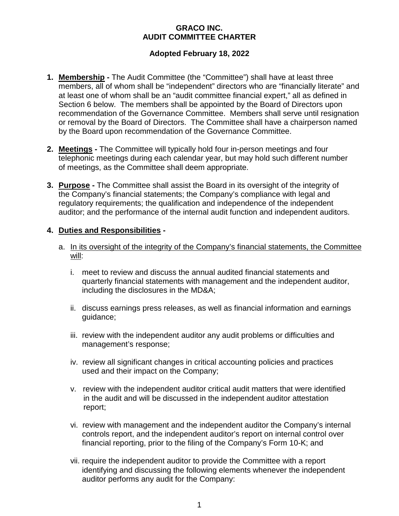## **GRACO INC. AUDIT COMMITTEE CHARTER**

# **Adopted February 18, 2022**

- **1. Membership -** The Audit Committee (the "Committee") shall have at least three members, all of whom shall be "independent" directors who are "financially literate" and at least one of whom shall be an "audit committee financial expert," all as defined in Section 6 below. The members shall be appointed by the Board of Directors upon recommendation of the Governance Committee. Members shall serve until resignation or removal by the Board of Directors. The Committee shall have a chairperson named by the Board upon recommendation of the Governance Committee.
- **2. Meetings -** The Committee will typically hold four in-person meetings and four telephonic meetings during each calendar year, but may hold such different number of meetings, as the Committee shall deem appropriate.
- **3. Purpose -** The Committee shall assist the Board in its oversight of the integrity of the Company's financial statements; the Company's compliance with legal and regulatory requirements; the qualification and independence of the independent auditor; and the performance of the internal audit function and independent auditors.

### **4. Duties and Responsibilities -**

- a. In its oversight of the integrity of the Company's financial statements, the Committee will:
	- i. meet to review and discuss the annual audited financial statements and quarterly financial statements with management and the independent auditor, including the disclosures in the MD&A;
	- ii. discuss earnings press releases, as well as financial information and earnings guidance;
	- iii. review with the independent auditor any audit problems or difficulties and management's response;
	- iv. review all significant changes in critical accounting policies and practices used and their impact on the Company;
	- v. review with the independent auditor critical audit matters that were identified in the audit and will be discussed in the independent auditor attestation report;
	- vi. review with management and the independent auditor the Company's internal controls report, and the independent auditor's report on internal control over financial reporting, prior to the filing of the Company's Form 10-K; and
	- vii. require the independent auditor to provide the Committee with a report identifying and discussing the following elements whenever the independent auditor performs any audit for the Company: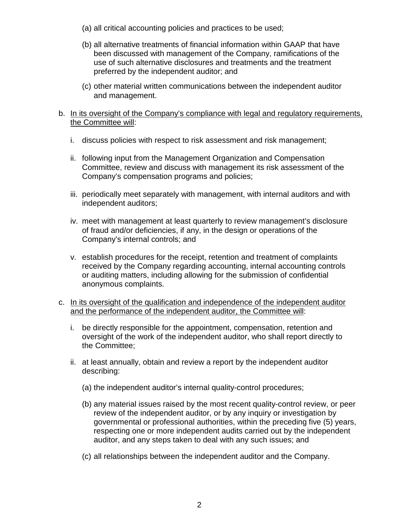- (a) all critical accounting policies and practices to be used;
- (b) all alternative treatments of financial information within GAAP that have been discussed with management of the Company, ramifications of the use of such alternative disclosures and treatments and the treatment preferred by the independent auditor; and
- (c) other material written communications between the independent auditor and management.

### b. In its oversight of the Company's compliance with legal and regulatory requirements, the Committee will:

- i. discuss policies with respect to risk assessment and risk management;
- ii. following input from the Management Organization and Compensation Committee, review and discuss with management its risk assessment of the Company's compensation programs and policies;
- iii. periodically meet separately with management, with internal auditors and with independent auditors;
- iv. meet with management at least quarterly to review management's disclosure of fraud and/or deficiencies, if any, in the design or operations of the Company's internal controls; and
- v. establish procedures for the receipt, retention and treatment of complaints received by the Company regarding accounting, internal accounting controls or auditing matters, including allowing for the submission of confidential anonymous complaints.
- c. In its oversight of the qualification and independence of the independent auditor and the performance of the independent auditor, the Committee will:
	- i. be directly responsible for the appointment, compensation, retention and oversight of the work of the independent auditor, who shall report directly to the Committee;
	- ii. at least annually, obtain and review a report by the independent auditor describing:
		- (a) the independent auditor's internal quality-control procedures;
		- (b) any material issues raised by the most recent quality-control review, or peer review of the independent auditor, or by any inquiry or investigation by governmental or professional authorities, within the preceding five (5) years, respecting one or more independent audits carried out by the independent auditor, and any steps taken to deal with any such issues; and
		- (c) all relationships between the independent auditor and the Company.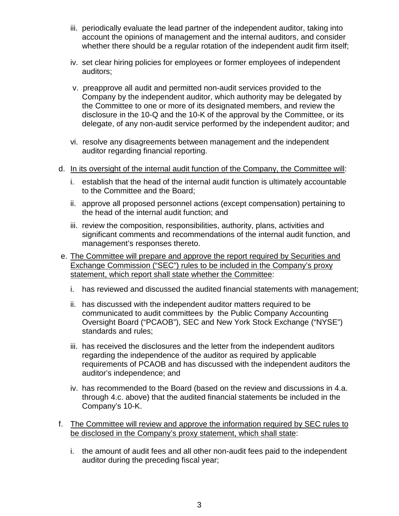- iii. periodically evaluate the lead partner of the independent auditor, taking into account the opinions of management and the internal auditors, and consider whether there should be a regular rotation of the independent audit firm itself;
- iv. set clear hiring policies for employees or former employees of independent auditors;
- v. preapprove all audit and permitted non-audit services provided to the Company by the independent auditor, which authority may be delegated by the Committee to one or more of its designated members, and review the disclosure in the 10-Q and the 10-K of the approval by the Committee, or its delegate, of any non-audit service performed by the independent auditor; and
- vi. resolve any disagreements between management and the independent auditor regarding financial reporting.
- d. In its oversight of the internal audit function of the Company, the Committee will:
	- i. establish that the head of the internal audit function is ultimately accountable to the Committee and the Board;
	- ii. approve all proposed personnel actions (except compensation) pertaining to the head of the internal audit function; and
	- iii. review the composition, responsibilities, authority, plans, activities and significant comments and recommendations of the internal audit function, and management's responses thereto.
- e. The Committee will prepare and approve the report required by Securities and Exchange Commission ("SEC") rules to be included in the Company's proxy statement, which report shall state whether the Committee:
	- i. has reviewed and discussed the audited financial statements with management;
	- ii. has discussed with the independent auditor matters required to be communicated to audit committees by the Public Company Accounting Oversight Board ("PCAOB"), SEC and New York Stock Exchange ("NYSE") standards and rules;
	- iii. has received the disclosures and the letter from the independent auditors regarding the independence of the auditor as required by applicable requirements of PCAOB and has discussed with the independent auditors the auditor's independence; and
	- iv. has recommended to the Board (based on the review and discussions in 4.a. through 4.c. above) that the audited financial statements be included in the Company's 10-K.
- f. The Committee will review and approve the information required by SEC rules to be disclosed in the Company's proxy statement, which shall state:
	- i. the amount of audit fees and all other non-audit fees paid to the independent auditor during the preceding fiscal year;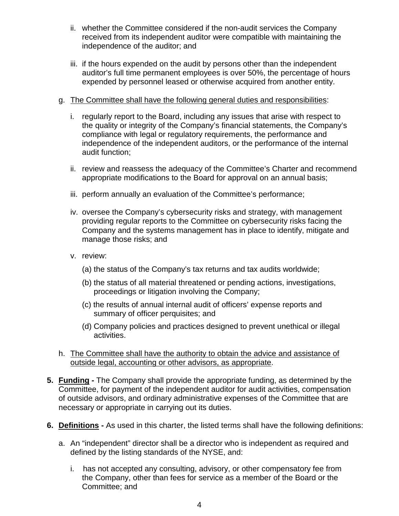- ii. whether the Committee considered if the non-audit services the Company received from its independent auditor were compatible with maintaining the independence of the auditor; and
- iii. if the hours expended on the audit by persons other than the independent auditor's full time permanent employees is over 50%, the percentage of hours expended by personnel leased or otherwise acquired from another entity.

# g. The Committee shall have the following general duties and responsibilities:

- i. regularly report to the Board, including any issues that arise with respect to the quality or integrity of the Company's financial statements, the Company's compliance with legal or regulatory requirements, the performance and independence of the independent auditors, or the performance of the internal audit function;
- ii. review and reassess the adequacy of the Committee's Charter and recommend appropriate modifications to the Board for approval on an annual basis;
- iii. perform annually an evaluation of the Committee's performance;
- iv. oversee the Company's cybersecurity risks and strategy, with management providing regular reports to the Committee on cybersecurity risks facing the Company and the systems management has in place to identify, mitigate and manage those risks; and
- v. review:
	- (a) the status of the Company's tax returns and tax audits worldwide;
	- (b) the status of all material threatened or pending actions, investigations, proceedings or litigation involving the Company;
	- (c) the results of annual internal audit of officers' expense reports and summary of officer perquisites; and
	- (d) Company policies and practices designed to prevent unethical or illegal activities.
- h. The Committee shall have the authority to obtain the advice and assistance of outside legal, accounting or other advisors, as appropriate.
- **5. Funding -** The Company shall provide the appropriate funding, as determined by the Committee, for payment of the independent auditor for audit activities, compensation of outside advisors, and ordinary administrative expenses of the Committee that are necessary or appropriate in carrying out its duties.
- **6. Definitions -** As used in this charter, the listed terms shall have the following definitions:
	- a. An "independent" director shall be a director who is independent as required and defined by the listing standards of the NYSE, and:
		- i. has not accepted any consulting, advisory, or other compensatory fee from the Company, other than fees for service as a member of the Board or the Committee; and